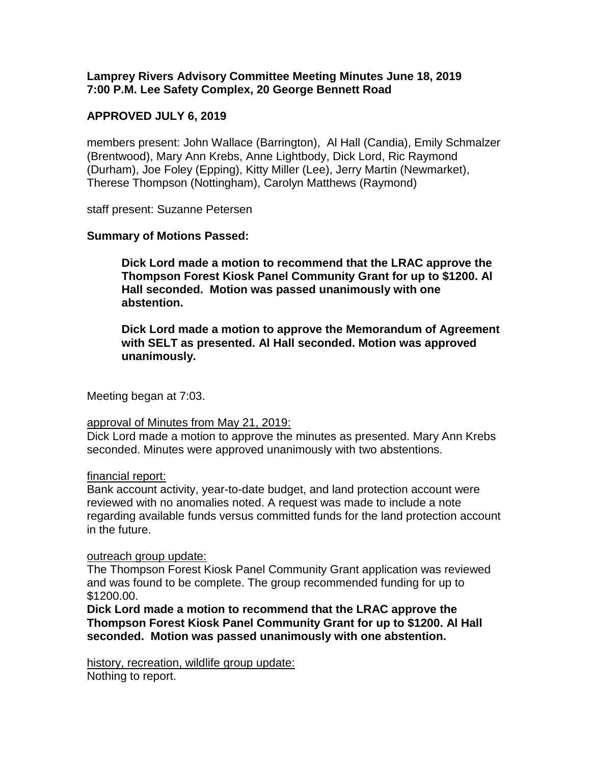**Lamprey Rivers Advisory Committee Meeting Minutes June 18, 2019 7:00 P.M. Lee Safety Complex, 20 George Bennett Road**

## **APPROVED JULY 6, 2019**

members present: John Wallace (Barrington), Al Hall (Candia), Emily Schmalzer (Brentwood), Mary Ann Krebs, Anne Lightbody, Dick Lord, Ric Raymond (Durham), Joe Foley (Epping), Kitty Miller (Lee), Jerry Martin (Newmarket), Therese Thompson (Nottingham), Carolyn Matthews (Raymond)

staff present: Suzanne Petersen

## **Summary of Motions Passed:**

**Dick Lord made a motion to recommend that the LRAC approve the Thompson Forest Kiosk Panel Community Grant for up to \$1200. Al Hall seconded. Motion was passed unanimously with one abstention.**

**Dick Lord made a motion to approve the Memorandum of Agreement with SELT as presented. Al Hall seconded. Motion was approved unanimously.** 

Meeting began at 7:03.

#### approval of Minutes from May 21, 2019:

Dick Lord made a motion to approve the minutes as presented. Mary Ann Krebs seconded. Minutes were approved unanimously with two abstentions.

#### financial report:

Bank account activity, year-to-date budget, and land protection account were reviewed with no anomalies noted. A request was made to include a note regarding available funds versus committed funds for the land protection account in the future.

#### outreach group update:

The Thompson Forest Kiosk Panel Community Grant application was reviewed and was found to be complete. The group recommended funding for up to \$1200.00.

**Dick Lord made a motion to recommend that the LRAC approve the Thompson Forest Kiosk Panel Community Grant for up to \$1200. Al Hall seconded. Motion was passed unanimously with one abstention.**

history, recreation, wildlife group update: Nothing to report.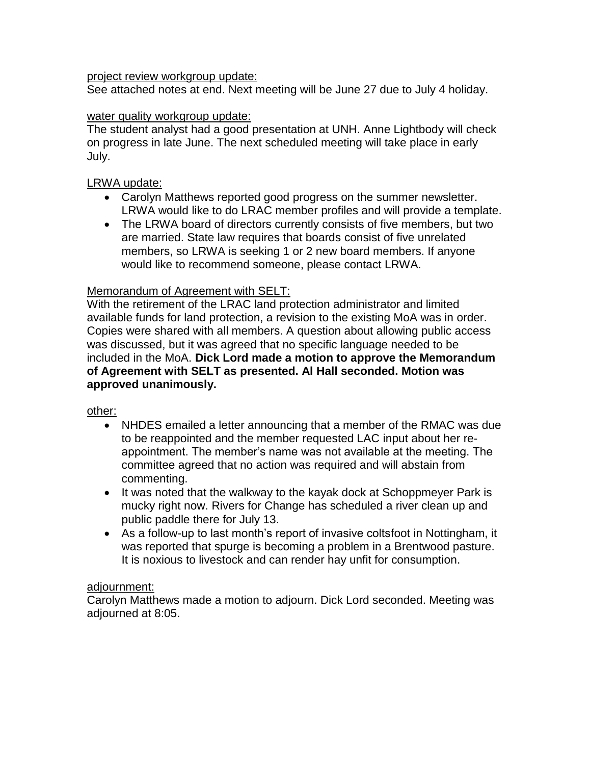### project review workgroup update:

See attached notes at end. Next meeting will be June 27 due to July 4 holiday.

## water quality workgroup update:

The student analyst had a good presentation at UNH. Anne Lightbody will check on progress in late June. The next scheduled meeting will take place in early July.

# LRWA update:

- Carolyn Matthews reported good progress on the summer newsletter. LRWA would like to do LRAC member profiles and will provide a template.
- The LRWA board of directors currently consists of five members, but two are married. State law requires that boards consist of five unrelated members, so LRWA is seeking 1 or 2 new board members. If anyone would like to recommend someone, please contact LRWA.

# Memorandum of Agreement with SELT:

With the retirement of the LRAC land protection administrator and limited available funds for land protection, a revision to the existing MoA was in order. Copies were shared with all members. A question about allowing public access was discussed, but it was agreed that no specific language needed to be included in the MoA. **Dick Lord made a motion to approve the Memorandum of Agreement with SELT as presented. Al Hall seconded. Motion was approved unanimously.** 

## other:

- NHDES emailed a letter announcing that a member of the RMAC was due to be reappointed and the member requested LAC input about her reappointment. The member's name was not available at the meeting. The committee agreed that no action was required and will abstain from commenting.
- It was noted that the walkway to the kayak dock at Schoppmeyer Park is mucky right now. Rivers for Change has scheduled a river clean up and public paddle there for July 13.
- As a follow-up to last month's report of invasive coltsfoot in Nottingham, it was reported that spurge is becoming a problem in a Brentwood pasture. It is noxious to livestock and can render hay unfit for consumption.

## adjournment:

Carolyn Matthews made a motion to adjourn. Dick Lord seconded. Meeting was adjourned at 8:05.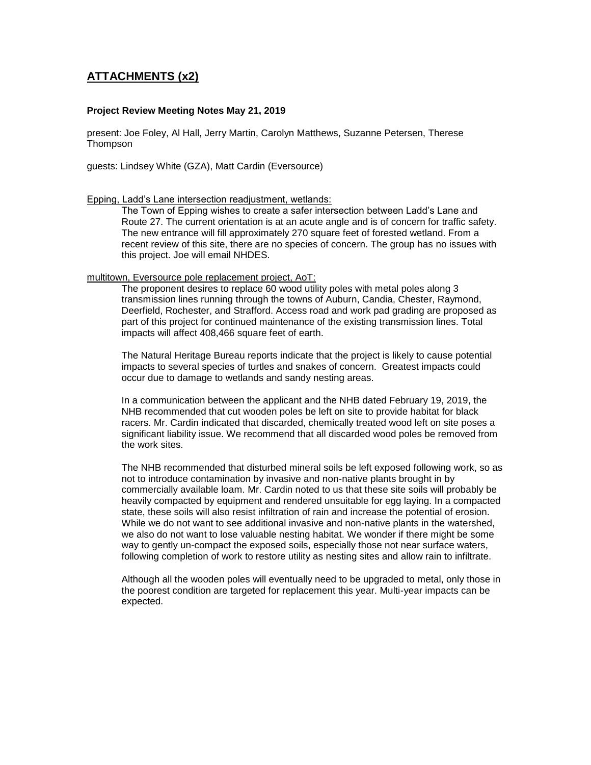## **ATTACHMENTS (x2)**

#### **Project Review Meeting Notes May 21, 2019**

present: Joe Foley, Al Hall, Jerry Martin, Carolyn Matthews, Suzanne Petersen, Therese Thompson

guests: Lindsey White (GZA), Matt Cardin (Eversource)

#### Epping, Ladd's Lane intersection readjustment, wetlands:

The Town of Epping wishes to create a safer intersection between Ladd's Lane and Route 27. The current orientation is at an acute angle and is of concern for traffic safety. The new entrance will fill approximately 270 square feet of forested wetland. From a recent review of this site, there are no species of concern. The group has no issues with this project. Joe will email NHDES.

#### multitown, Eversource pole replacement project, AoT:

The proponent desires to replace 60 wood utility poles with metal poles along 3 transmission lines running through the towns of Auburn, Candia, Chester, Raymond, Deerfield, Rochester, and Strafford. Access road and work pad grading are proposed as part of this project for continued maintenance of the existing transmission lines. Total impacts will affect 408,466 square feet of earth.

The Natural Heritage Bureau reports indicate that the project is likely to cause potential impacts to several species of turtles and snakes of concern. Greatest impacts could occur due to damage to wetlands and sandy nesting areas.

In a communication between the applicant and the NHB dated February 19, 2019, the NHB recommended that cut wooden poles be left on site to provide habitat for black racers. Mr. Cardin indicated that discarded, chemically treated wood left on site poses a significant liability issue. We recommend that all discarded wood poles be removed from the work sites.

The NHB recommended that disturbed mineral soils be left exposed following work, so as not to introduce contamination by invasive and non-native plants brought in by commercially available loam. Mr. Cardin noted to us that these site soils will probably be heavily compacted by equipment and rendered unsuitable for egg laying. In a compacted state, these soils will also resist infiltration of rain and increase the potential of erosion. While we do not want to see additional invasive and non-native plants in the watershed, we also do not want to lose valuable nesting habitat. We wonder if there might be some way to gently un-compact the exposed soils, especially those not near surface waters, following completion of work to restore utility as nesting sites and allow rain to infiltrate.

Although all the wooden poles will eventually need to be upgraded to metal, only those in the poorest condition are targeted for replacement this year. Multi-year impacts can be expected.